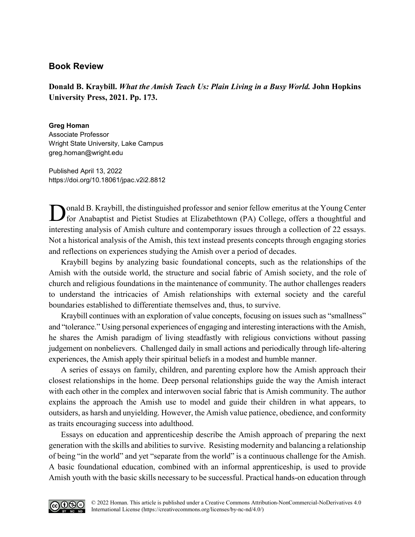## **Book Review**

**Donald B. Kraybill.** *What the Amish Teach Us: Plain Living in a Busy World.* **John Hopkins University Press, 2021. Pp. 173.** 

**Greg Homan** Associate Professor Wright State University, Lake Campus [greg.homan@wright.edu](mailto:greg.homan@wright.edu)

Published April 13, 2022 <https://doi.org/10.18061/jpac.v2i2.8812>

onald B. Kraybill, the distinguished professor and senior fellow emeritus at the Young Center for Anabaptist and Pietist Studies at Elizabethtown (PA) College, offers a thoughtful and interesting analysis of Amish culture and contemporary issues through a collection of 22 essays. Not a historical analysis of the Amish, this text instead presents concepts through engaging stories and reflections on experiences studying the Amish over a period of decades.

Kraybill begins by analyzing basic foundational concepts, such as the relationships of the Amish with the outside world, the structure and social fabric of Amish society, and the role of church and religious foundations in the maintenance of community. The author challenges readers to understand the intricacies of Amish relationships with external society and the careful boundaries established to differentiate themselves and, thus, to survive.

Kraybill continues with an exploration of value concepts, focusing on issues such as "smallness" and "tolerance." Using personal experiences of engaging and interesting interactions with the Amish, he shares the Amish paradigm of living steadfastly with religious convictions without passing judgement on nonbelievers. Challenged daily in small actions and periodically through life-altering experiences, the Amish apply their spiritual beliefs in a modest and humble manner.

A series of essays on family, children, and parenting explore how the Amish approach their closest relationships in the home. Deep personal relationships guide the way the Amish interact with each other in the complex and interwoven social fabric that is Amish community. The author explains the approach the Amish use to model and guide their children in what appears, to outsiders, as harsh and unyielding. However, the Amish value patience, obedience, and conformity as traits encouraging success into adulthood.

Essays on education and apprenticeship describe the Amish approach of preparing the next generation with the skills and abilities to survive. Resisting modernity and balancing a relationship of being "in the world" and yet "separate from the world" is a continuous challenge for the Amish. A basic foundational education, combined with an informal apprenticeship, is used to provide Amish youth with the basic skills necessary to be successful. Practical hands-on education through